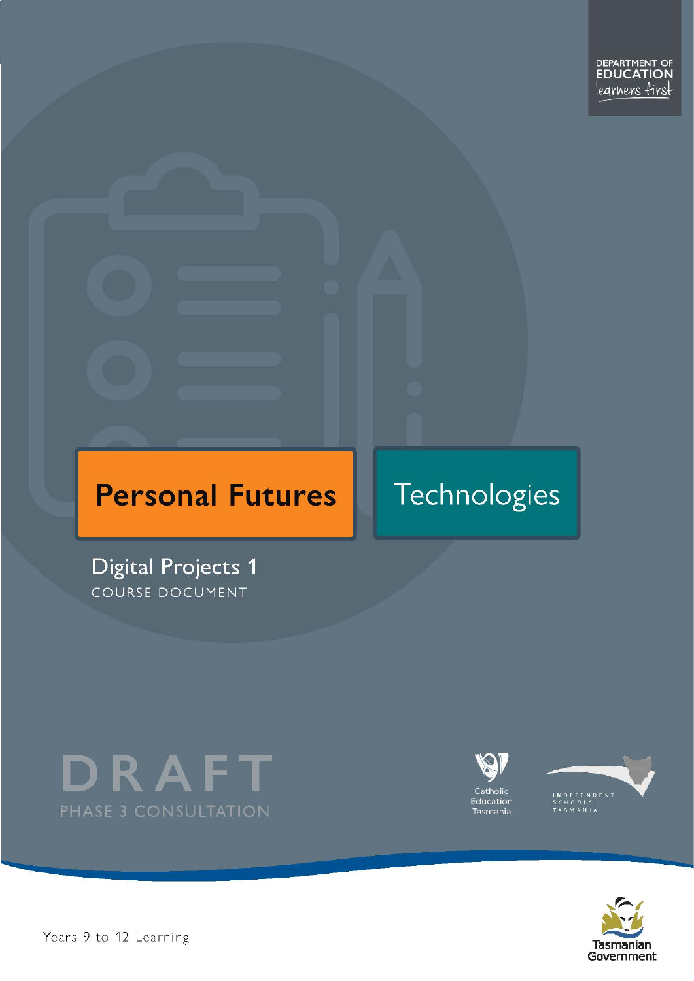# **Personal Futures**

# Technologies

**Digital Projects 1** COURSE DOCUMENT









Years 9 to 12 Learning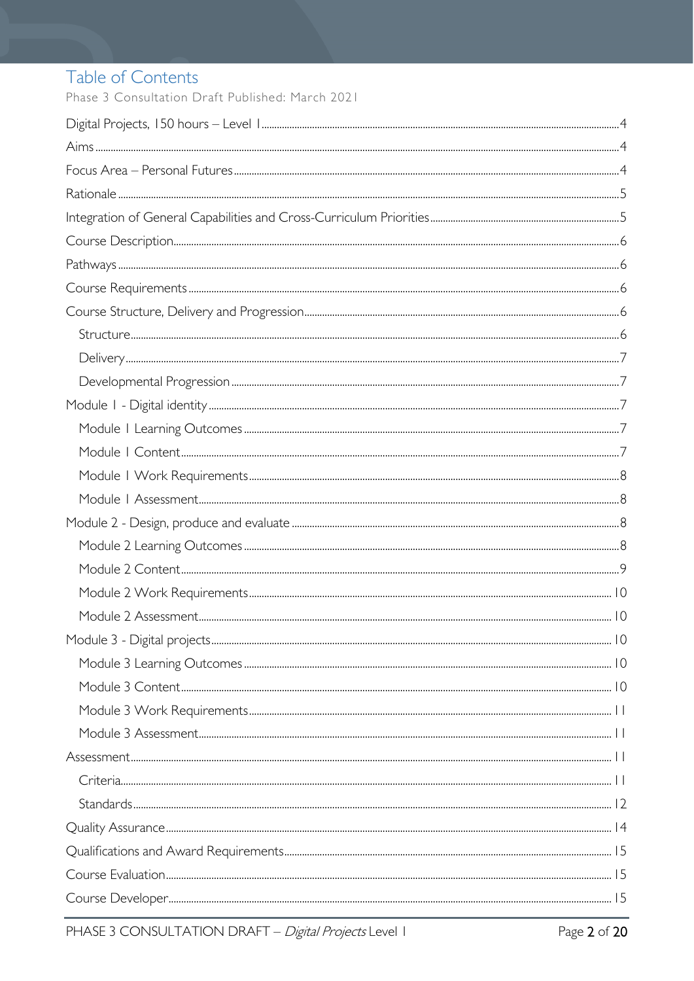# Table of Contents

Phase 3 Consultation Draft Published: March 2021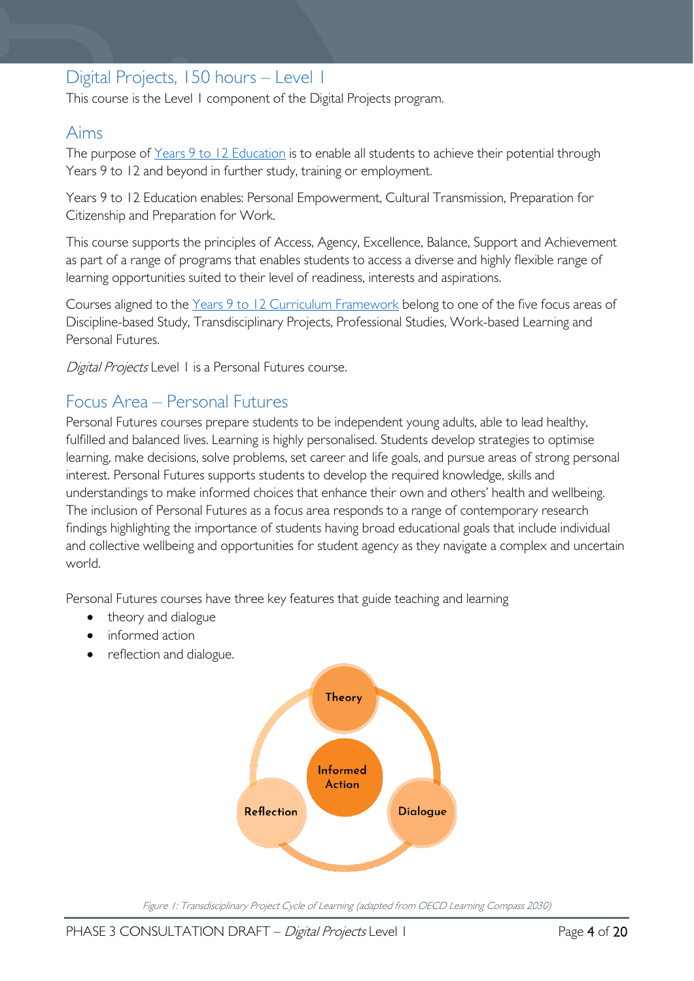# <span id="page-3-0"></span>Digital Projects, 150 hours – Level 1

This course is the Level 1 component of the Digital Projects program.

## <span id="page-3-1"></span>Aims

The purpose of Years 9 to 12 [Education](https://publicdocumentcentre.education.tas.gov.au/library/Shared%20Documents/Years-9-to-12-Education-Framework.pdf) is to enable all students to achieve their potential through Years 9 to 12 and beyond in further study, training or employment.

Years 9 to 12 Education enables: Personal Empowerment, Cultural Transmission, Preparation for Citizenship and Preparation for Work.

This course supports the principles of Access, Agency, Excellence, Balance, Support and Achievement as part of a range of programs that enables students to access a diverse and highly flexible range of learning opportunities suited to their level of readiness, interests and aspirations.

Courses aligned to the Years 9 to 12 Curriculum [Framework](https://publicdocumentcentre.education.tas.gov.au/library/Shared%20Documents/Education%209-12%20Frameworks%20A3%20WEB%20POSTER.pdf) belong to one of the five focus areas of Discipline-based Study, Transdisciplinary Projects, Professional Studies, Work-based Learning and Personal Futures.

Digital Projects Level 1 is a Personal Futures course.

# <span id="page-3-2"></span>Focus Area – Personal Futures

Personal Futures courses prepare students to be independent young adults, able to lead healthy, fulfilled and balanced lives. Learning is highly personalised. Students develop strategies to optimise learning, make decisions, solve problems, set career and life goals, and pursue areas of strong personal interest. Personal Futures supports students to develop the required knowledge, skills and understandings to make informed choices that enhance their own and others' health and wellbeing. The inclusion of Personal Futures as a focus area responds to a range of contemporary research findings highlighting the importance of students having broad educational goals that include individual and collective wellbeing and opportunities for student agency as they navigate a complex and uncertain world.

Personal Futures courses have three key features that guide teaching and learning

- theory and dialogue
- informed action
- reflection and dialogue.



Figure 1: Transdisciplinary Project Cycle of Learning (adapted from OECD Learning Compass 2030)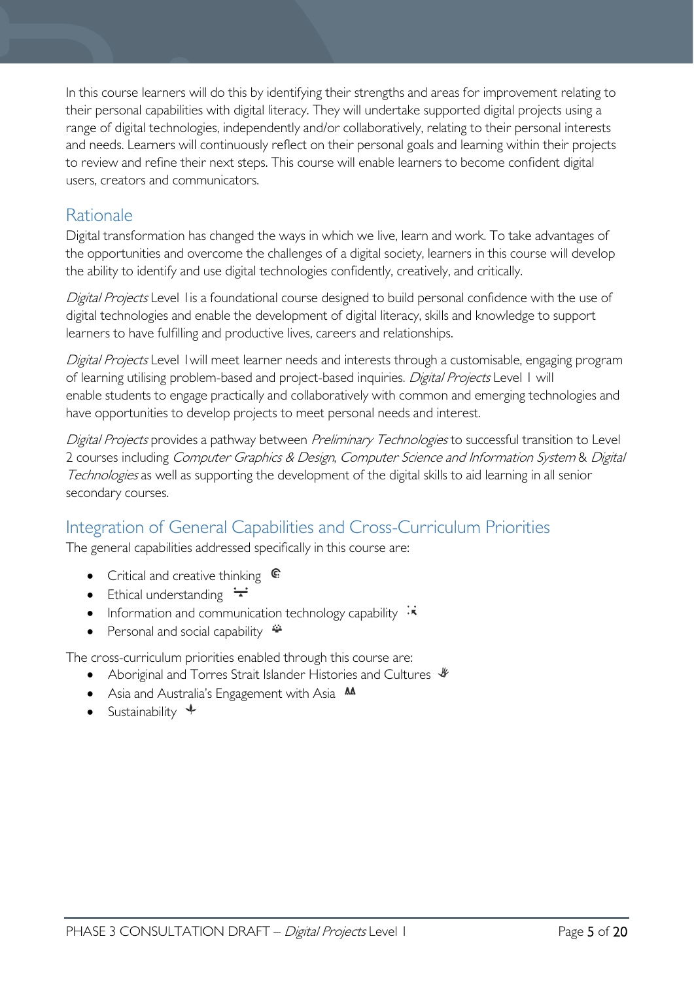In this course learners will do this by identifying their strengths and areas for improvement relating to their personal capabilities with digital literacy. They will undertake supported digital projects using a range of digital technologies, independently and/or collaboratively, relating to their personal interests and needs. Learners will continuously reflect on their personal goals and learning within their projects to review and refine their next steps. This course will enable learners to become confident digital users, creators and communicators.

# <span id="page-4-0"></span>**Rationale**

Digital transformation has changed the ways in which we live, learn and work. To take advantages of the opportunities and overcome the challenges of a digital society, learners in this course will develop the ability to identify and use digital technologies confidently, creatively, and critically.

Digital Projects Level 1 is a foundational course designed to build personal confidence with the use of digital technologies and enable the development of digital literacy, skills and knowledge to support learners to have fulfilling and productive lives, careers and relationships.

Digital Projects Level 1 will meet learner needs and interests through a customisable, engaging program of learning utilising problem-based and project-based inquiries. Digital Projects Level 1 will enable students to engage practically and collaboratively with common and emerging technologies and have opportunities to develop projects to meet personal needs and interest.

Digital Projects provides a pathway between Preliminary Technologies to successful transition to Level 2 courses including Computer Graphics & Design, Computer Science and Information System & Digital Technologies as well as supporting the development of the digital skills to aid learning in all senior secondary courses.

# <span id="page-4-1"></span>Integration of General Capabilities and Cross-Curriculum Priorities

The general capabilities addressed specifically in this course are:

- Critical and creative thinking  $\mathbb{C}$
- Ethical understanding  $\div$
- Information and communication technology capability  $\cdot \star$
- Personal and social capability  $\ddot{\bullet}$

The cross-curriculum priorities enabled through this course are:

- Aboriginal and Torres Strait Islander Histories and Cultures  $\mathcal V$
- Asia and Australia's Engagement with Asia **AA**
- Sustainability  $\triangleq$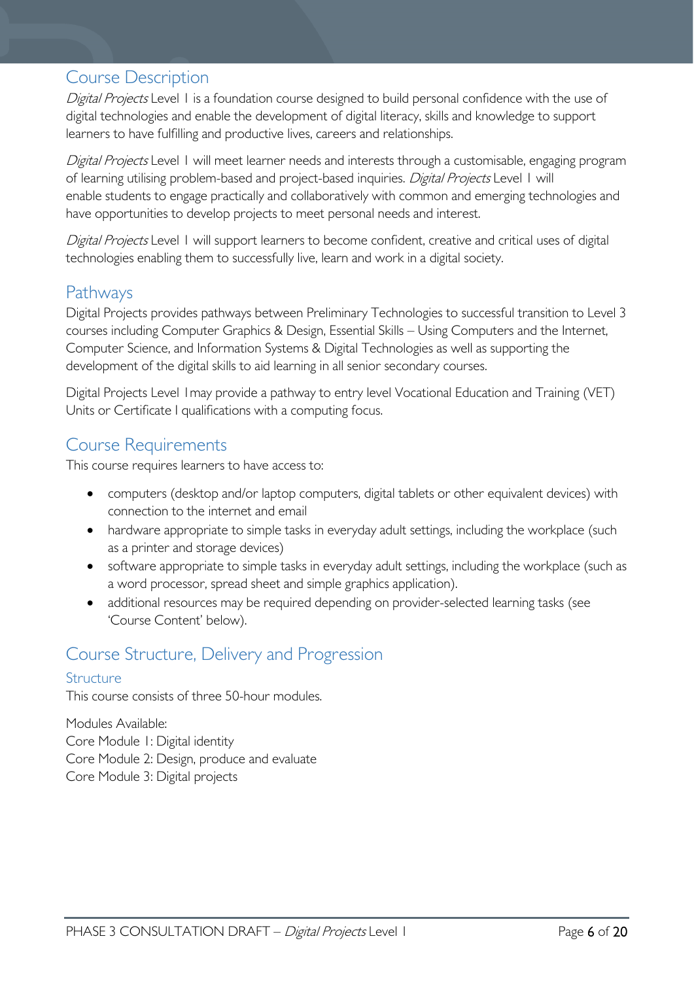## <span id="page-5-0"></span>Course Description

Digital Projects Level 1 is a foundation course designed to build personal confidence with the use of digital technologies and enable the development of digital literacy, skills and knowledge to support learners to have fulfilling and productive lives, careers and relationships.

Digital Projects Level 1 will meet learner needs and interests through a customisable, engaging program of learning utilising problem-based and project-based inquiries. Digital Projects Level 1 will enable students to engage practically and collaboratively with common and emerging technologies and have opportunities to develop projects to meet personal needs and interest.

Digital Projects Level 1 will support learners to become confident, creative and critical uses of digital technologies enabling them to successfully live, learn and work in a digital society.

# <span id="page-5-1"></span>Pathways

Digital Projects provides pathways between Preliminary Technologies to successful transition to Level 3 courses including Computer Graphics & Design, Essential Skills – Using Computers and the Internet, Computer Science, and Information Systems & Digital Technologies as well as supporting the development of the digital skills to aid learning in all senior secondary courses.

Digital Projects Level 1may provide a pathway to entry level Vocational Education and Training (VET) Units or Certificate I qualifications with a computing focus.

# <span id="page-5-2"></span>Course Requirements

This course requires learners to have access to:

- computers (desktop and/or laptop computers, digital tablets or other equivalent devices) with connection to the internet and email
- hardware appropriate to simple tasks in everyday adult settings, including the workplace (such as a printer and storage devices)
- software appropriate to simple tasks in everyday adult settings, including the workplace (such as a word processor, spread sheet and simple graphics application).
- additional resources may be required depending on provider-selected learning tasks (see 'Course Content' below).

## <span id="page-5-3"></span>Course Structure, Delivery and Progression

#### <span id="page-5-4"></span>Structure

This course consists of three 50-hour modules.

Modules Available: Core Module 1: Digital identity Core Module 2: Design, produce and evaluate Core Module 3: Digital projects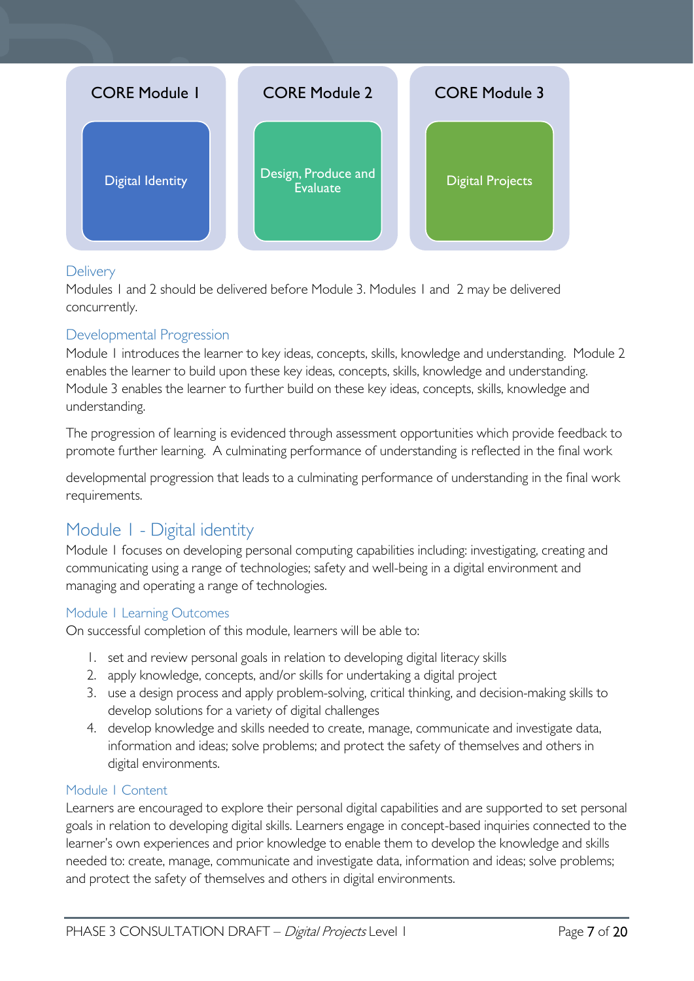

#### <span id="page-6-0"></span>**Delivery**

Modules 1 and 2 should be delivered before Module 3. Modules 1 and 2 may be delivered concurrently.

### <span id="page-6-1"></span>Developmental Progression

Module 1 introduces the learner to key ideas, concepts, skills, knowledge and understanding. Module 2 enables the learner to build upon these key ideas, concepts, skills, knowledge and understanding. Module 3 enables the learner to further build on these key ideas, concepts, skills, knowledge and understanding.

The progression of learning is evidenced through assessment opportunities which provide feedback to promote further learning. A culminating performance of understanding is reflected in the final work

developmental progression that leads to a culminating performance of understanding in the final work requirements.

# <span id="page-6-2"></span>Module 1 - Digital identity

Module 1 focuses on developing personal computing capabilities including: investigating, creating and communicating using a range of technologies; safety and well-being in a digital environment and managing and operating a range of technologies.

### <span id="page-6-3"></span>Module 1 Learning Outcomes

On successful completion of this module, learners will be able to:

- 1. set and review personal goals in relation to developing digital literacy skills
- 2. apply knowledge, concepts, and/or skills for undertaking a digital project
- 3. use a design process and apply problem-solving, critical thinking, and decision-making skills to develop solutions for a variety of digital challenges
- 4. develop knowledge and skills needed to create, manage, communicate and investigate data, information and ideas; solve problems; and protect the safety of themselves and others in digital environments.

#### <span id="page-6-4"></span>Module 1 Content

Learners are encouraged to explore their personal digital capabilities and are supported to set personal goals in relation to developing digital skills. Learners engage in concept-based inquiries connected to the learner's own experiences and prior knowledge to enable them to develop the knowledge and skills needed to: create, manage, communicate and investigate data, information and ideas; solve problems; and protect the safety of themselves and others in digital environments.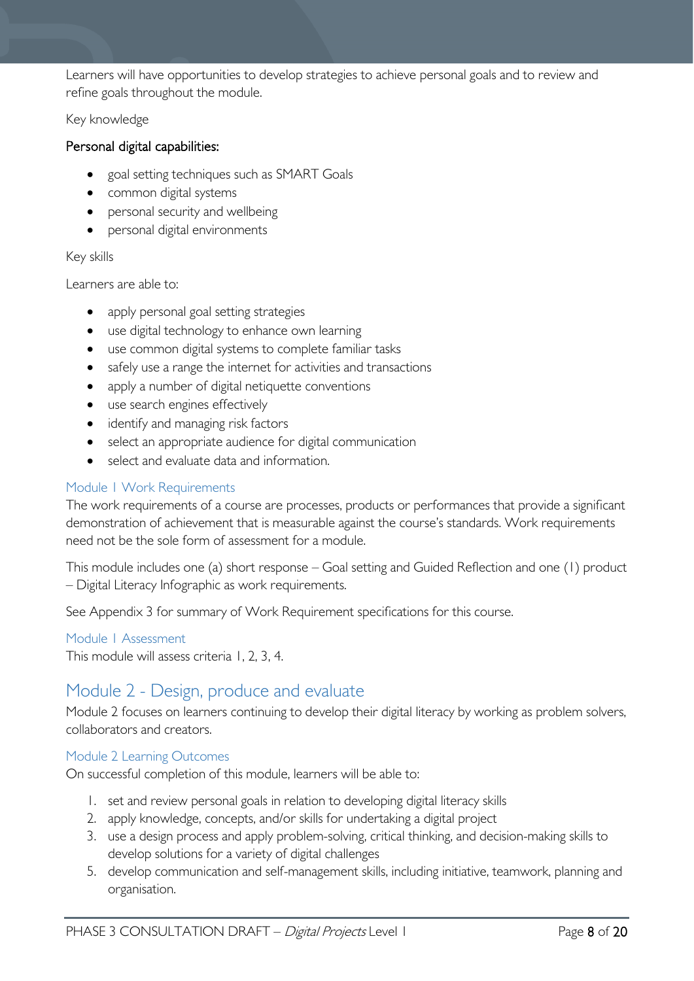Learners will have opportunities to develop strategies to achieve personal goals and to review and refine goals throughout the module.

#### Key knowledge

#### Personal digital capabilities:

- goal setting techniques such as SMART Goals
- common digital systems
- personal security and wellbeing
- personal digital environments

#### Key skills

Learners are able to:

- apply personal goal setting strategies
- use digital technology to enhance own learning
- use common digital systems to complete familiar tasks
- safely use a range the internet for activities and transactions
- apply a number of digital netiquette conventions
- use search engines effectively
- identify and managing risk factors
- select an appropriate audience for digital communication
- select and evaluate data and information.

#### <span id="page-7-0"></span>Module 1 Work Requirements

The work requirements of a course are processes, products or performances that provide a significant demonstration of achievement that is measurable against the course's standards. Work requirements need not be the sole form of assessment for a module.

This module includes one (a) short response – Goal setting and Guided Reflection and one (1) product – Digital Literacy Infographic as work requirements.

See Appendix 3 for summary of Work Requirement specifications for this course.

### <span id="page-7-1"></span>Module 1 Assessment

This module will assess criteria 1, 2, 3, 4.

# <span id="page-7-2"></span>Module 2 - Design, produce and evaluate

Module 2 focuses on learners continuing to develop their digital literacy by working as problem solvers, collaborators and creators.

#### <span id="page-7-3"></span>Module 2 Learning Outcomes

On successful completion of this module, learners will be able to:

- 1. set and review personal goals in relation to developing digital literacy skills
- 2. apply knowledge, concepts, and/or skills for undertaking a digital project
- 3. use a design process and apply problem-solving, critical thinking, and decision-making skills to develop solutions for a variety of digital challenges
- 5. develop communication and self-management skills, including initiative, teamwork, planning and organisation.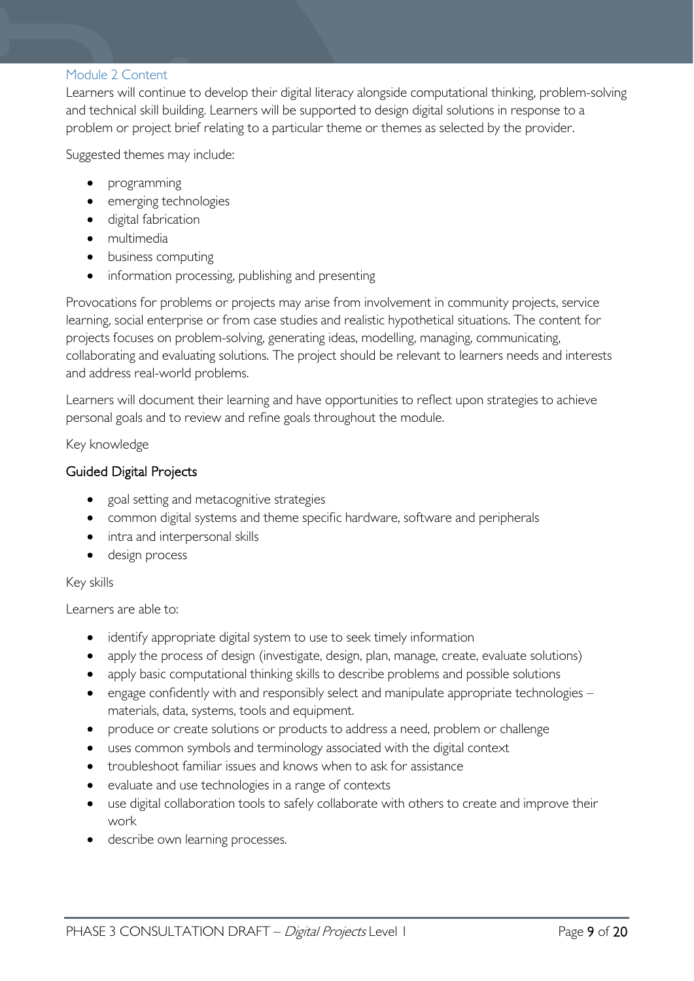#### <span id="page-8-0"></span>Module 2 Content

Learners will continue to develop their digital literacy alongside computational thinking, problem-solving and technical skill building. Learners will be supported to design digital solutions in response to a problem or project brief relating to a particular theme or themes as selected by the provider.

Suggested themes may include:

- programming
- emerging technologies
- digital fabrication
- multimedia
- business computing
- information processing, publishing and presenting

Provocations for problems or projects may arise from involvement in community projects, service learning, social enterprise or from case studies and realistic hypothetical situations. The content for projects focuses on problem-solving, generating ideas, modelling, managing, communicating, collaborating and evaluating solutions. The project should be relevant to learners needs and interests and address real-world problems.

Learners will document their learning and have opportunities to reflect upon strategies to achieve personal goals and to review and refine goals throughout the module.

Key knowledge

#### Guided Digital Projects

- goal setting and metacognitive strategies
- common digital systems and theme specific hardware, software and peripherals
- intra and interpersonal skills
- design process

#### Key skills

Learners are able to:

- identify appropriate digital system to use to seek timely information
- apply the process of design (investigate, design, plan, manage, create, evaluate solutions)
- apply basic computational thinking skills to describe problems and possible solutions
- engage confidently with and responsibly select and manipulate appropriate technologies materials, data, systems, tools and equipment.
- produce or create solutions or products to address a need, problem or challenge
- uses common symbols and terminology associated with the digital context
- troubleshoot familiar issues and knows when to ask for assistance
- evaluate and use technologies in a range of contexts
- use digital collaboration tools to safely collaborate with others to create and improve their work
- describe own learning processes.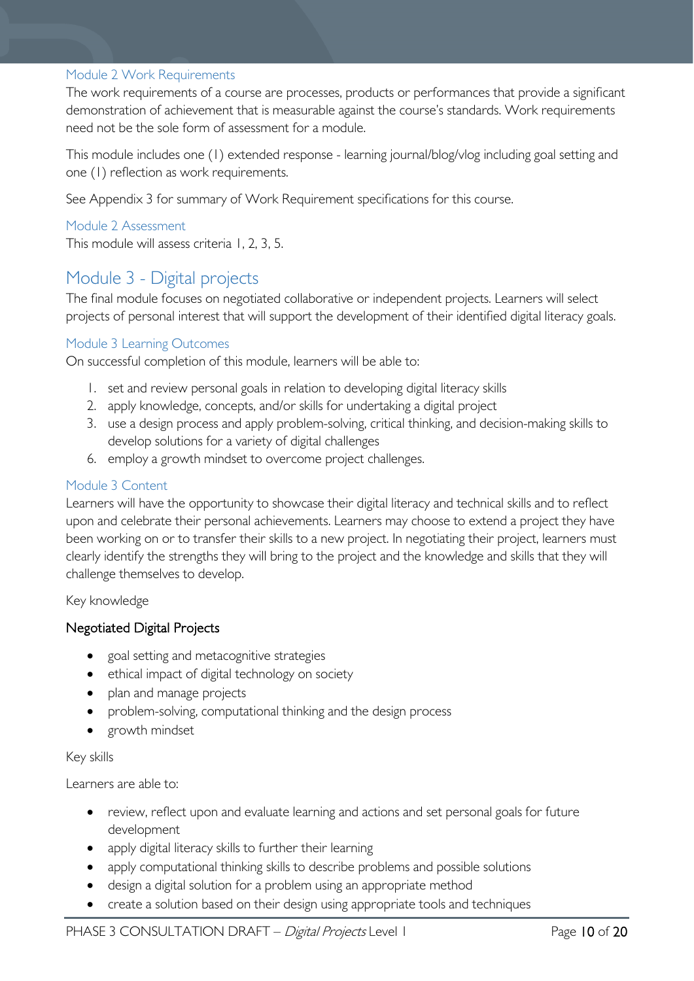#### <span id="page-9-0"></span>Module 2 Work Requirements

The work requirements of a course are processes, products or performances that provide a significant demonstration of achievement that is measurable against the course's standards. Work requirements need not be the sole form of assessment for a module.

This module includes one (1) extended response - learning journal/blog/vlog including goal setting and one (1) reflection as work requirements.

See Appendix 3 for summary of Work Requirement specifications for this course.

### <span id="page-9-1"></span>Module 2 Assessment

This module will assess criteria 1, 2, 3, 5.

## <span id="page-9-2"></span>Module 3 - Digital projects

The final module focuses on negotiated collaborative or independent projects. Learners will select projects of personal interest that will support the development of their identified digital literacy goals.

#### <span id="page-9-3"></span>Module 3 Learning Outcomes

On successful completion of this module, learners will be able to:

- 1. set and review personal goals in relation to developing digital literacy skills
- 2. apply knowledge, concepts, and/or skills for undertaking a digital project
- 3. use a design process and apply problem-solving, critical thinking, and decision-making skills to develop solutions for a variety of digital challenges
- 6. employ a growth mindset to overcome project challenges.

#### <span id="page-9-4"></span>Module 3 Content

Learners will have the opportunity to showcase their digital literacy and technical skills and to reflect upon and celebrate their personal achievements. Learners may choose to extend a project they have been working on or to transfer their skills to a new project. In negotiating their project, learners must clearly identify the strengths they will bring to the project and the knowledge and skills that they will challenge themselves to develop.

#### Key knowledge

#### Negotiated Digital Projects

- goal setting and metacognitive strategies
- ethical impact of digital technology on society
- plan and manage projects
- problem-solving, computational thinking and the design process
- growth mindset

#### Key skills

Learners are able to:

- review, reflect upon and evaluate learning and actions and set personal goals for future development
- apply digital literacy skills to further their learning
- apply computational thinking skills to describe problems and possible solutions
- design a digital solution for a problem using an appropriate method
- create a solution based on their design using appropriate tools and techniques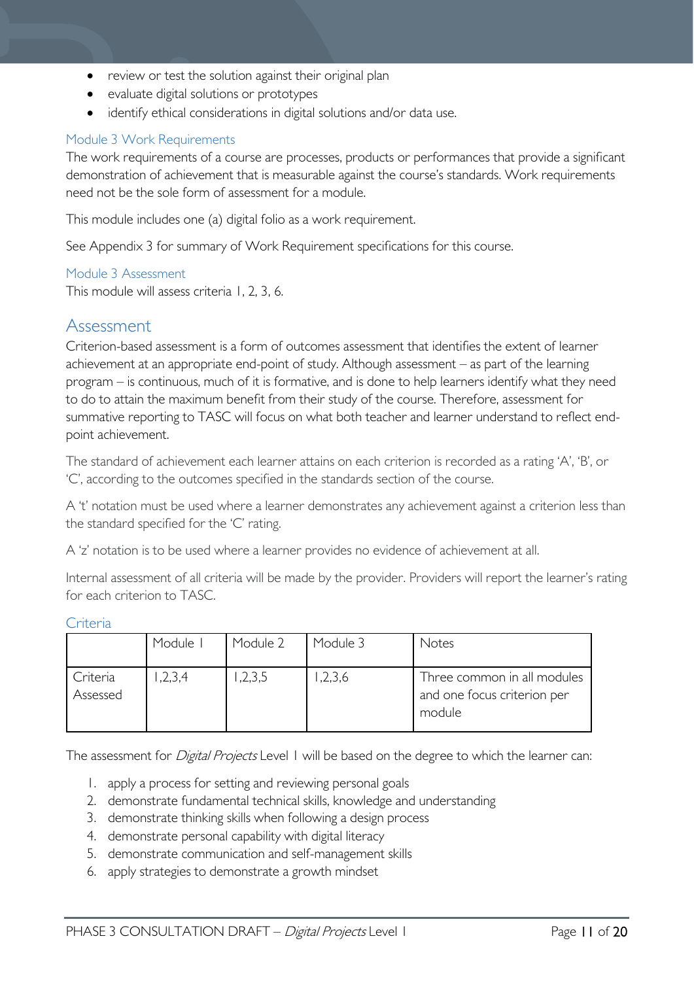- review or test the solution against their original plan
- evaluate digital solutions or prototypes
- identify ethical considerations in digital solutions and/or data use.

#### <span id="page-10-0"></span>Module 3 Work Requirements

The work requirements of a course are processes, products or performances that provide a significant demonstration of achievement that is measurable against the course's standards. Work requirements need not be the sole form of assessment for a module.

This module includes one (a) digital folio as a work requirement.

See Appendix 3 for summary of Work Requirement specifications for this course.

#### <span id="page-10-1"></span>Module 3 Assessment

This module will assess criteria 1, 2, 3, 6.

### <span id="page-10-2"></span>Assessment

Criterion-based assessment is a form of outcomes assessment that identifies the extent of learner achievement at an appropriate end-point of study. Although assessment – as part of the learning program – is continuous, much of it is formative, and is done to help learners identify what they need to do to attain the maximum benefit from their study of the course. Therefore, assessment for summative reporting to TASC will focus on what both teacher and learner understand to reflect endpoint achievement.

The standard of achievement each learner attains on each criterion is recorded as a rating 'A', 'B', or 'C', according to the outcomes specified in the standards section of the course.

A 't' notation must be used where a learner demonstrates any achievement against a criterion less than the standard specified for the 'C' rating.

A 'z' notation is to be used where a learner provides no evidence of achievement at all.

Internal assessment of all criteria will be made by the provider. Providers will report the learner's rating for each criterion to TASC.

|                      | Module I | Module 2 | Module 3 | Notes                                                                |
|----------------------|----------|----------|----------|----------------------------------------------------------------------|
| Criteria<br>Assessed | ,2,3,4   | ,2,3,5   | ,2,3,6   | Three common in all modules<br>and one focus criterion per<br>module |

#### <span id="page-10-3"></span>Criteria

The assessment for *Digital Projects* Level 1 will be based on the degree to which the learner can:

- 1. apply a process for setting and reviewing personal goals
- 2. demonstrate fundamental technical skills, knowledge and understanding
- 3. demonstrate thinking skills when following a design process
- 4. demonstrate personal capability with digital literacy
- 5. demonstrate communication and self-management skills
- 6. apply strategies to demonstrate a growth mindset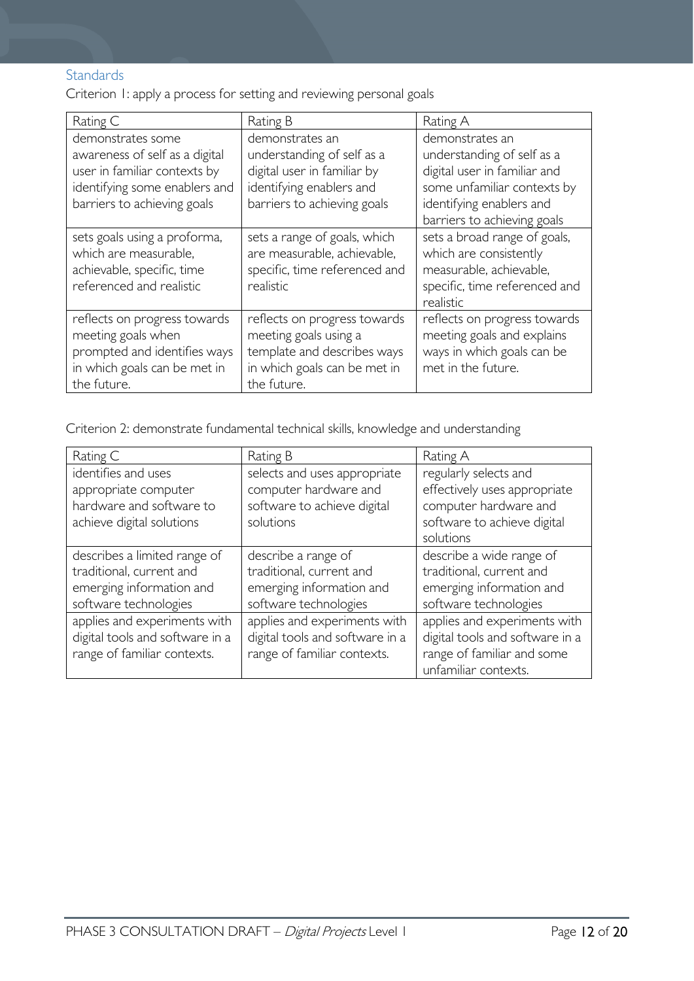### <span id="page-11-0"></span>Standards

Criterion 1: apply a process for setting and reviewing personal goals

| Rating C                                                                                                                                            | Rating B                                                                                                                                | Rating A                                                                                                                                                                |
|-----------------------------------------------------------------------------------------------------------------------------------------------------|-----------------------------------------------------------------------------------------------------------------------------------------|-------------------------------------------------------------------------------------------------------------------------------------------------------------------------|
| demonstrates some<br>awareness of self as a digital<br>user in familiar contexts by<br>identifying some enablers and<br>barriers to achieving goals | demonstrates an<br>understanding of self as a<br>digital user in familiar by<br>identifying enablers and<br>barriers to achieving goals | demonstrates an<br>understanding of self as a<br>digital user in familiar and<br>some unfamiliar contexts by<br>identifying enablers and<br>barriers to achieving goals |
| sets goals using a proforma,<br>which are measurable,<br>achievable, specific, time<br>referenced and realistic                                     | sets a range of goals, which<br>are measurable, achievable,<br>specific, time referenced and<br>realistic                               | sets a broad range of goals,<br>which are consistently<br>measurable, achievable,<br>specific, time referenced and<br>realistic                                         |
| reflects on progress towards<br>meeting goals when<br>prompted and identifies ways<br>in which goals can be met in<br>the future.                   | reflects on progress towards<br>meeting goals using a<br>template and describes ways<br>in which goals can be met in<br>the future.     | reflects on progress towards<br>meeting goals and explains<br>ways in which goals can be<br>met in the future.                                                          |

Criterion 2: demonstrate fundamental technical skills, knowledge and understanding

| Rating C                        | Rating B                        | Rating A                        |
|---------------------------------|---------------------------------|---------------------------------|
| identifies and uses             | selects and uses appropriate    | regularly selects and           |
| appropriate computer            | computer hardware and           | effectively uses appropriate    |
| hardware and software to        | software to achieve digital     | computer hardware and           |
| achieve digital solutions       | solutions                       | software to achieve digital     |
|                                 |                                 | solutions                       |
| describes a limited range of    | describe a range of             | describe a wide range of        |
| traditional, current and        | traditional, current and        | traditional, current and        |
| emerging information and        | emerging information and        | emerging information and        |
| software technologies           | software technologies           | software technologies           |
| applies and experiments with    | applies and experiments with    | applies and experiments with    |
| digital tools and software in a | digital tools and software in a | digital tools and software in a |
| range of familiar contexts.     | range of familiar contexts.     | range of familiar and some      |
|                                 |                                 | unfamiliar contexts.            |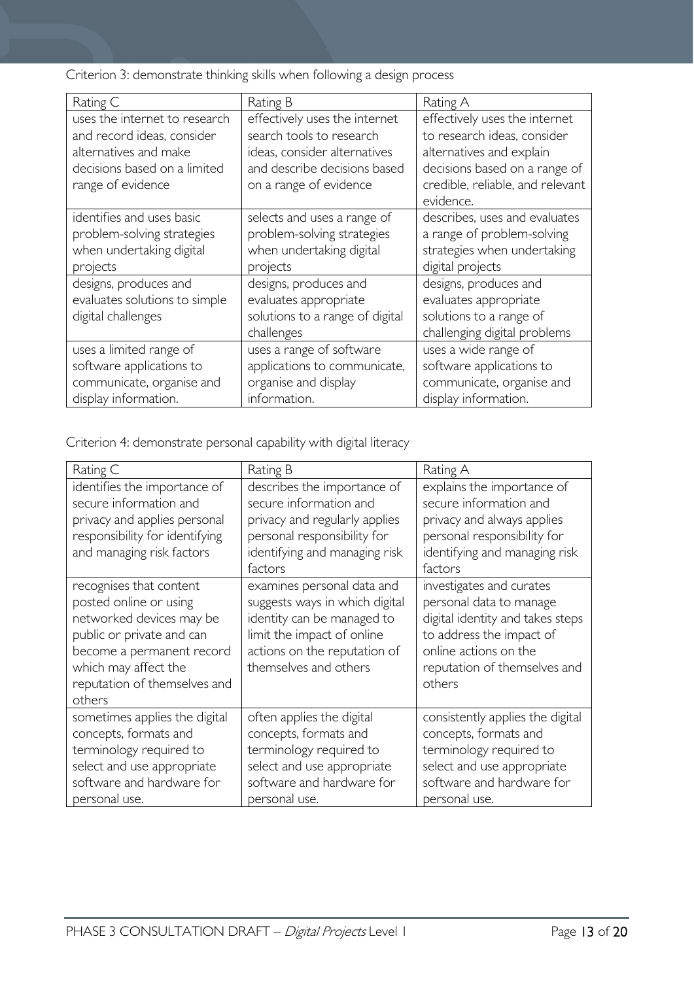Criterion 3: demonstrate thinking skills when following a design process

| Rating C                                                                                                                                  | Rating B                                                                                                                                            | Rating A                                                                                                                                                                   |
|-------------------------------------------------------------------------------------------------------------------------------------------|-----------------------------------------------------------------------------------------------------------------------------------------------------|----------------------------------------------------------------------------------------------------------------------------------------------------------------------------|
| uses the internet to research<br>and record ideas, consider<br>alternatives and make<br>decisions based on a limited<br>range of evidence | effectively uses the internet<br>search tools to research<br>ideas, consider alternatives<br>and describe decisions based<br>on a range of evidence | effectively uses the internet<br>to research ideas, consider<br>alternatives and explain<br>decisions based on a range of<br>credible, reliable, and relevant<br>evidence. |
| identifies and uses basic<br>problem-solving strategies<br>when undertaking digital<br>projects                                           | selects and uses a range of<br>problem-solving strategies<br>when undertaking digital<br>projects                                                   | describes, uses and evaluates<br>a range of problem-solving<br>strategies when undertaking<br>digital projects                                                             |
| designs, produces and<br>evaluates solutions to simple<br>digital challenges                                                              | designs, produces and<br>evaluates appropriate<br>solutions to a range of digital<br>challenges                                                     | designs, produces and<br>evaluates appropriate<br>solutions to a range of<br>challenging digital problems                                                                  |
| uses a limited range of<br>software applications to<br>communicate, organise and<br>display information.                                  | uses a range of software<br>applications to communicate,<br>organise and display<br>information.                                                    | uses a wide range of<br>software applications to<br>communicate, organise and<br>display information.                                                                      |

Criterion 4: demonstrate personal capability with digital literacy

| Rating C                                                                                                                                                                                                  | Rating B                                                                                                                                                                          | Rating A                                                                                                                                                                               |
|-----------------------------------------------------------------------------------------------------------------------------------------------------------------------------------------------------------|-----------------------------------------------------------------------------------------------------------------------------------------------------------------------------------|----------------------------------------------------------------------------------------------------------------------------------------------------------------------------------------|
| identifies the importance of                                                                                                                                                                              | describes the importance of                                                                                                                                                       | explains the importance of                                                                                                                                                             |
| secure information and                                                                                                                                                                                    | secure information and                                                                                                                                                            | secure information and                                                                                                                                                                 |
| privacy and applies personal                                                                                                                                                                              | privacy and regularly applies                                                                                                                                                     | privacy and always applies                                                                                                                                                             |
| responsibility for identifying                                                                                                                                                                            | personal responsibility for                                                                                                                                                       | personal responsibility for                                                                                                                                                            |
| and managing risk factors                                                                                                                                                                                 | identifying and managing risk<br>factors                                                                                                                                          | identifying and managing risk<br>factors                                                                                                                                               |
| recognises that content<br>posted online or using<br>networked devices may be<br>public or private and can<br>become a permanent record<br>which may affect the<br>reputation of themselves and<br>others | examines personal data and<br>suggests ways in which digital<br>identity can be managed to<br>limit the impact of online<br>actions on the reputation of<br>themselves and others | investigates and curates<br>personal data to manage<br>digital identity and takes steps<br>to address the impact of<br>online actions on the<br>reputation of themselves and<br>others |
| sometimes applies the digital                                                                                                                                                                             | often applies the digital                                                                                                                                                         | consistently applies the digital                                                                                                                                                       |
| concepts, formats and                                                                                                                                                                                     | concepts, formats and                                                                                                                                                             | concepts, formats and                                                                                                                                                                  |
| terminology required to                                                                                                                                                                                   | terminology required to                                                                                                                                                           | terminology required to                                                                                                                                                                |
| select and use appropriate                                                                                                                                                                                | select and use appropriate                                                                                                                                                        | select and use appropriate                                                                                                                                                             |
| software and hardware for                                                                                                                                                                                 | software and hardware for                                                                                                                                                         | software and hardware for                                                                                                                                                              |
| personal use.                                                                                                                                                                                             | personal use.                                                                                                                                                                     | personal use.                                                                                                                                                                          |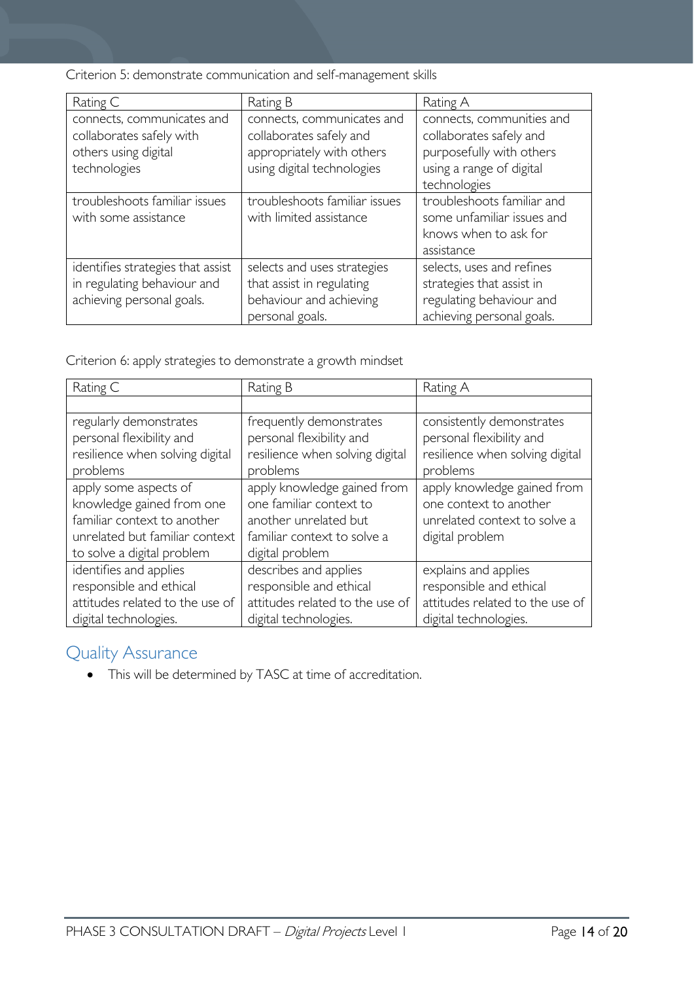Criterion 5: demonstrate communication and self-management skills

| Rating C                                                                                       | Rating B                                                                                                         | Rating A                                                                                                                     |
|------------------------------------------------------------------------------------------------|------------------------------------------------------------------------------------------------------------------|------------------------------------------------------------------------------------------------------------------------------|
| connects, communicates and<br>collaborates safely with<br>others using digital<br>technologies | connects, communicates and<br>collaborates safely and<br>appropriately with others<br>using digital technologies | connects, communities and<br>collaborates safely and<br>purposefully with others<br>using a range of digital<br>technologies |
| troubleshoots familiar issues<br>with some assistance                                          | troubleshoots familiar issues<br>with limited assistance                                                         | troubleshoots familiar and<br>some unfamiliar issues and<br>knows when to ask for<br>assistance                              |
| identifies strategies that assist<br>in regulating behaviour and<br>achieving personal goals.  | selects and uses strategies<br>that assist in regulating<br>behaviour and achieving<br>personal goals.           | selects, uses and refines<br>strategies that assist in<br>regulating behaviour and<br>achieving personal goals.              |

Criterion 6: apply strategies to demonstrate a growth mindset

| Rating C                        | Rating B                        | Rating A                        |
|---------------------------------|---------------------------------|---------------------------------|
|                                 |                                 |                                 |
| regularly demonstrates          | frequently demonstrates         | consistently demonstrates       |
| personal flexibility and        | personal flexibility and        | personal flexibility and        |
| resilience when solving digital | resilience when solving digital | resilience when solving digital |
| problems                        | problems                        | problems                        |
| apply some aspects of           | apply knowledge gained from     | apply knowledge gained from     |
| knowledge gained from one       | one familiar context to         | one context to another          |
| familiar context to another     | another unrelated but           | unrelated context to solve a    |
| unrelated but familiar context  | familiar context to solve a     | digital problem                 |
| to solve a digital problem      | digital problem                 |                                 |
| identifies and applies          | describes and applies           | explains and applies            |
| responsible and ethical         | responsible and ethical         | responsible and ethical         |
| attitudes related to the use of | attitudes related to the use of | attitudes related to the use of |
| digital technologies.           | digital technologies.           | digital technologies.           |

# <span id="page-13-0"></span>Quality Assurance

• This will be determined by TASC at time of accreditation.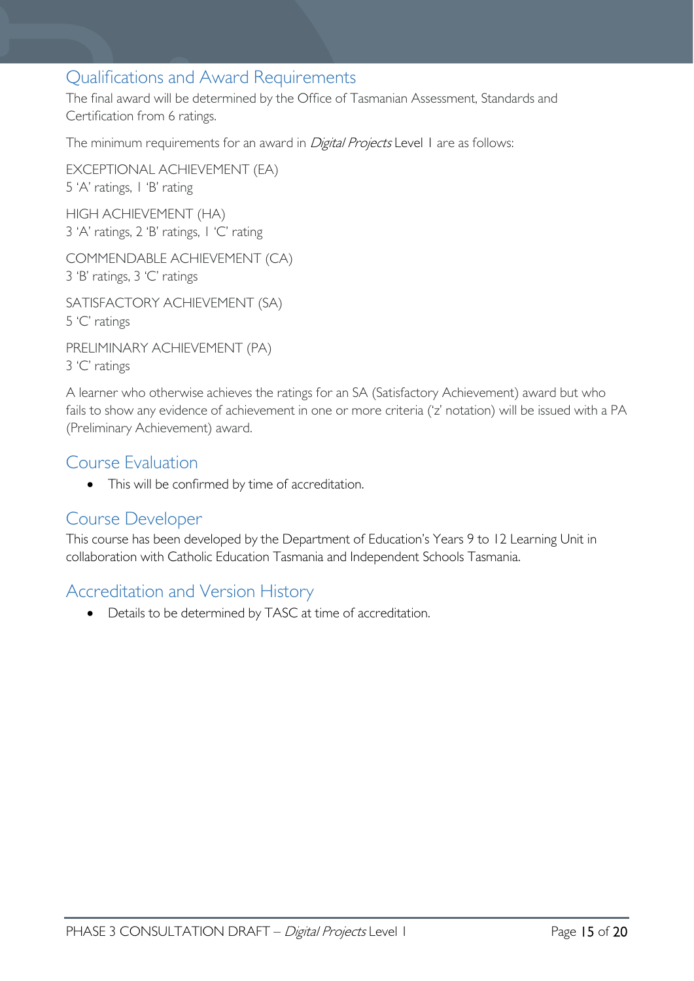## <span id="page-14-0"></span>Qualifications and Award Requirements

The final award will be determined by the Office of Tasmanian Assessment, Standards and Certification from 6 ratings.

The minimum requirements for an award in *Digital Projects* Level 1 are as follows:

EXCEPTIONAL ACHIEVEMENT (EA) 5 'A' ratings, 1 'B' rating HIGH ACHIEVEMENT (HA)

3 'A' ratings, 2 'B' ratings, 1 'C' rating

COMMENDABLE ACHIEVEMENT (CA) 3 'B' ratings, 3 'C' ratings

SATISFACTORY ACHIEVEMENT (SA) 5 'C' ratings

PRELIMINARY ACHIEVEMENT (PA) 3 'C' ratings

A learner who otherwise achieves the ratings for an SA (Satisfactory Achievement) award but who fails to show any evidence of achievement in one or more criteria ('z' notation) will be issued with a PA (Preliminary Achievement) award.

### <span id="page-14-1"></span>Course Evaluation

• This will be confirmed by time of accreditation.

### <span id="page-14-2"></span>Course Developer

This course has been developed by the Department of Education's Years 9 to 12 Learning Unit in collaboration with Catholic Education Tasmania and Independent Schools Tasmania.

## <span id="page-14-3"></span>Accreditation and Version History

• Details to be determined by TASC at time of accreditation.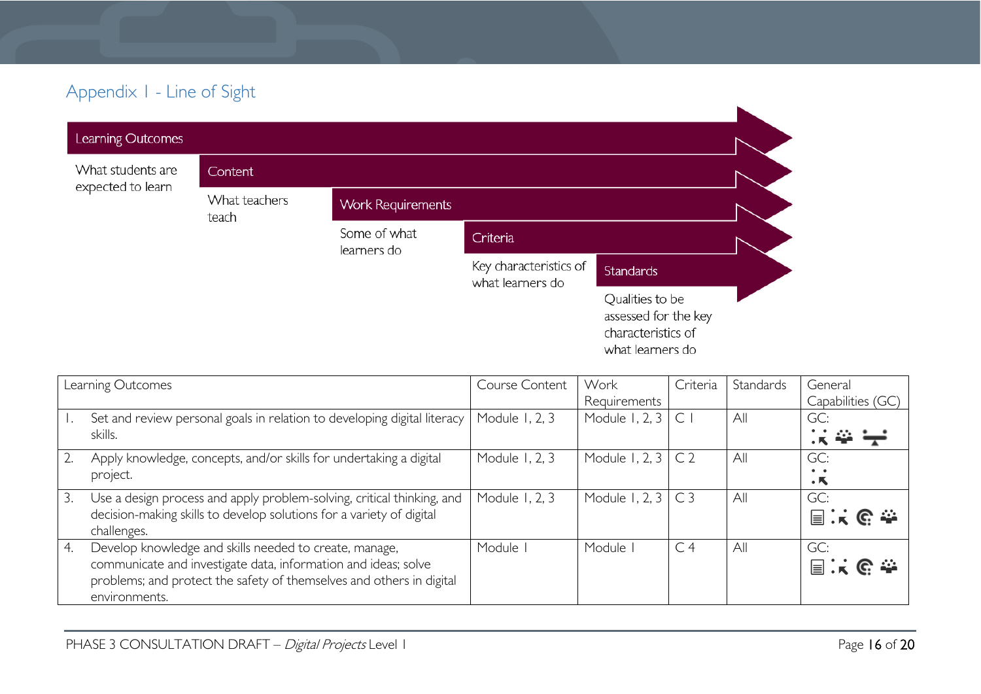# Appendix 1 - Line of Sight

| Learning Outcomes |                        |                             |                                            |                                                                                   |
|-------------------|------------------------|-----------------------------|--------------------------------------------|-----------------------------------------------------------------------------------|
| What students are | Content                |                             |                                            |                                                                                   |
| expected to learn | What teachers<br>teach | <b>Work Requirements</b>    |                                            |                                                                                   |
|                   |                        | Some of what<br>learners do | Criteria                                   |                                                                                   |
|                   |                        |                             | Key characteristics of<br>what learners do | <b>Standards</b>                                                                  |
|                   |                        |                             |                                            | Qualities to be<br>assessed for the key<br>characteristics of<br>what learners do |

<span id="page-15-0"></span>

|    | Learning Outcomes                                                                                                                                                                                                 | Course Content | Work           | Criteria       | Standards | General                                    |
|----|-------------------------------------------------------------------------------------------------------------------------------------------------------------------------------------------------------------------|----------------|----------------|----------------|-----------|--------------------------------------------|
|    |                                                                                                                                                                                                                   |                | Requirements   |                |           | Capabilities (GC)                          |
|    | Set and review personal goals in relation to developing digital literacy<br>skills.                                                                                                                               | Module 1, 2, 3 | Module 1, 2, 3 | $\mathsf{C}$   | All       | GC:                                        |
|    | Apply knowledge, concepts, and/or skills for undertaking a digital<br>project.                                                                                                                                    | Module 1, 2, 3 | Module 1, 2, 3 | C <sub>2</sub> | All       | GC:<br>$\bullet\quad \bullet$<br>$\cdot$ K |
| 3. | Use a design process and apply problem-solving, critical thinking, and<br>decision-making skills to develop solutions for a variety of digital<br>challenges.                                                     | Module 1, 2, 3 | Module 1, 2, 3 | C <sub>3</sub> | All       | GC:<br>国家哈奎                                |
| 4. | Develop knowledge and skills needed to create, manage,<br>communicate and investigate data, information and ideas; solve<br>problems; and protect the safety of themselves and others in digital<br>environments. | Module         | Module         | C <sub>4</sub> | All       | GC:<br>国家哈奎                                |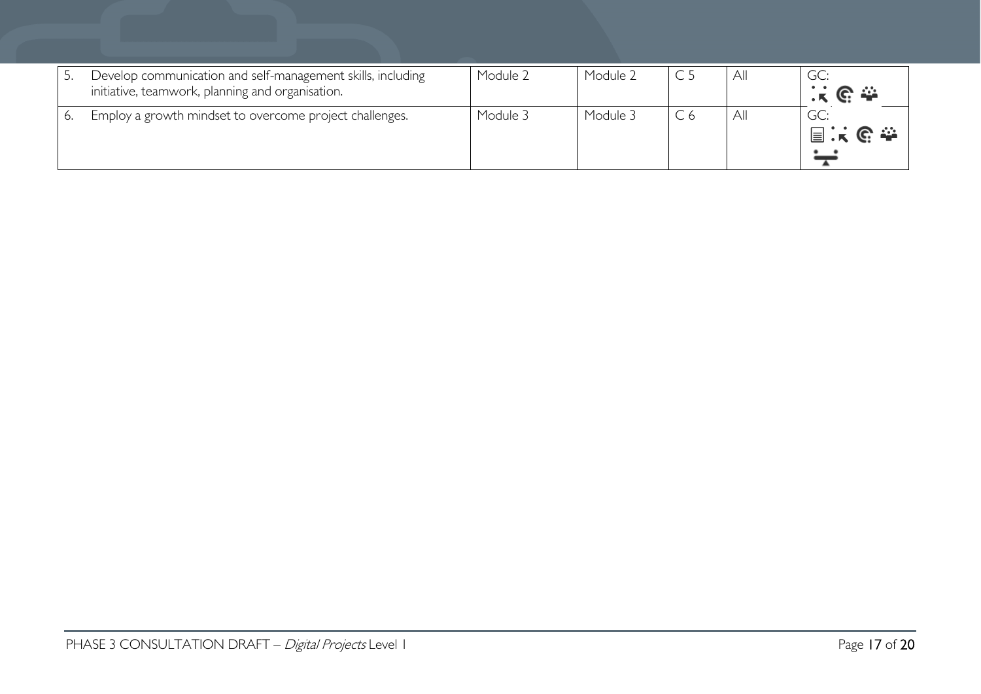| Develop communication and self-management skills, including<br>initiative, teamwork, planning and organisation. | Module 2 | Module 2 | All | GC:<br>း ၉ ေ |
|-----------------------------------------------------------------------------------------------------------------|----------|----------|-----|--------------|
| Employ a growth mindset to overcome project challenges.                                                         | Module 3 | Module 3 | All | GC:<br>国民职会  |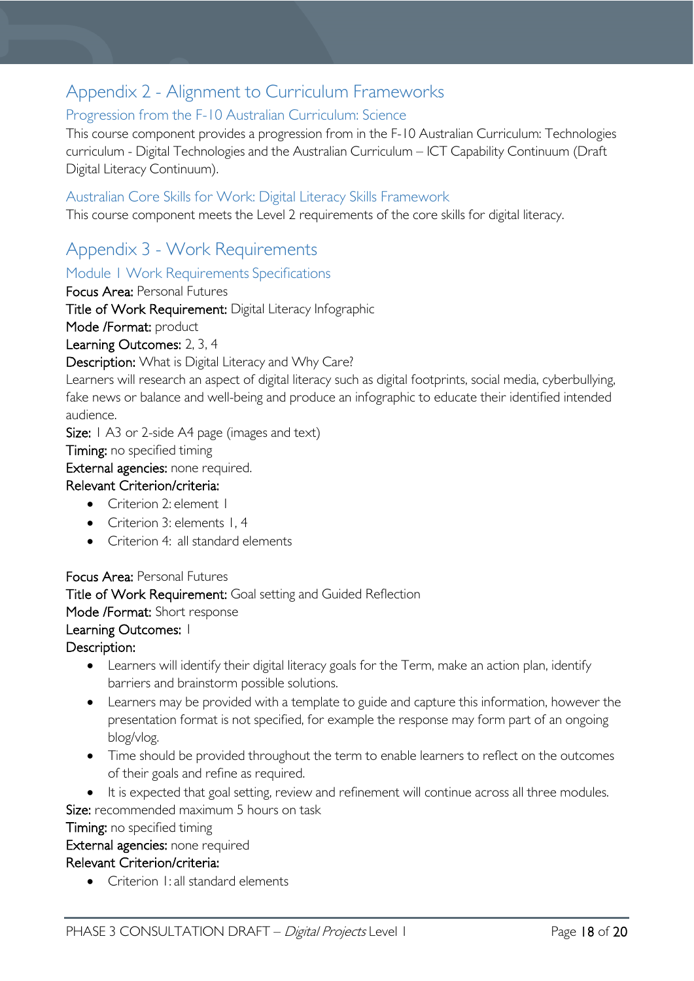# <span id="page-17-0"></span>Appendix 2 - Alignment to Curriculum Frameworks

### <span id="page-17-1"></span>Progression from the F-10 Australian Curriculum: Science

This course component provides a progression from in the F-10 Australian Curriculum: Technologies curriculum - Digital Technologies and the Australian Curriculum – ICT Capability Continuum (Draft Digital Literacy Continuum).

#### <span id="page-17-2"></span>Australian Core Skills for Work: Digital Literacy Skills Framework

This course component meets the Level 2 requirements of the core skills for digital literacy.

## <span id="page-17-3"></span>Appendix 3 - Work Requirements

#### <span id="page-17-4"></span>Module 1 Work Requirements Specifications

Focus Area: Personal Futures

Title of Work Requirement: Digital Literacy Infographic

Mode /Format: product

Learning Outcomes: 2, 3, 4

Description: What is Digital Literacy and Why Care?

Learners will research an aspect of digital literacy such as digital footprints, social media, cyberbullying, fake news or balance and well-being and produce an infographic to educate their identified intended audience.

Size: 1 A3 or 2-side A4 page (images and text)

### **Timing:** no specified timing

External agencies: none required.

#### Relevant Criterion/criteria:

- Criterion 2: element 1
- Criterion 3: elements 1, 4
- Criterion 4: all standard elements

### Focus Area: Personal Futures

Title of Work Requirement: Goal setting and Guided Reflection

Mode /Format: Short response

#### Learning Outcomes: 1

#### Description:

- Learners will identify their digital literacy goals for the Term, make an action plan, identify barriers and brainstorm possible solutions.
- Learners may be provided with a template to guide and capture this information, however the presentation format is not specified, for example the response may form part of an ongoing blog/vlog.
- Time should be provided throughout the term to enable learners to reflect on the outcomes of their goals and refine as required.
- It is expected that goal setting, review and refinement will continue across all three modules.

### Size: recommended maximum 5 hours on task

Timing: no specified timing

#### External agencies: none required

#### Relevant Criterion/criteria:

• Criterion I: all standard elements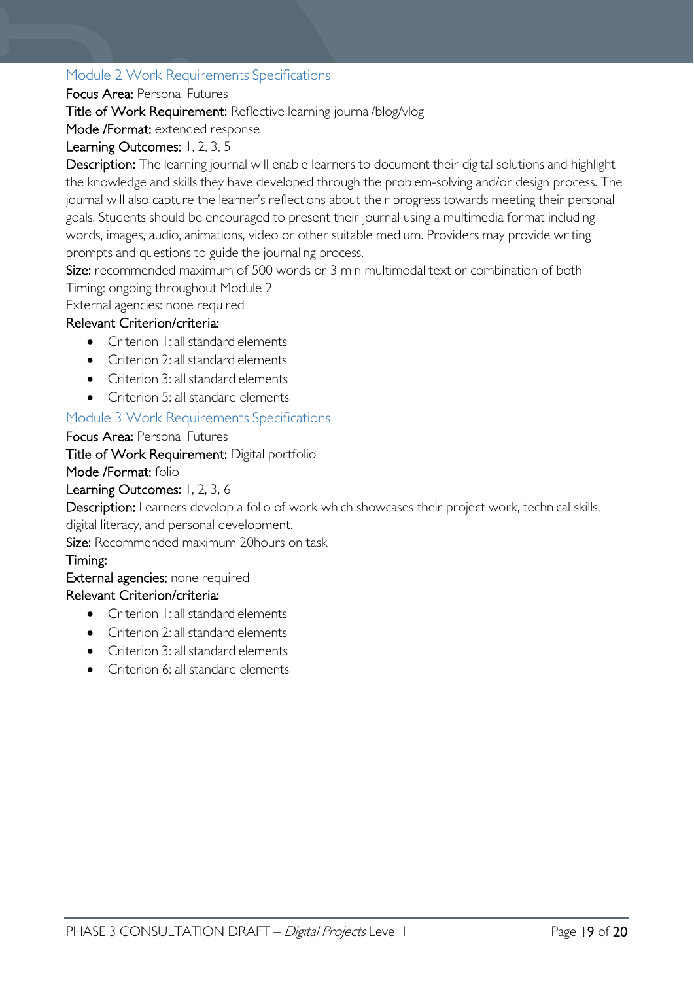### <span id="page-18-0"></span>Module 2 Work Requirements Specifications

#### Focus Area: Personal Futures

Title of Work Requirement: Reflective learning journal/blog/vlog

Mode /Format: extended response

### Learning Outcomes: 1, 2, 3, 5

Description: The learning journal will enable learners to document their digital solutions and highlight the knowledge and skills they have developed through the problem-solving and/or design process. The journal will also capture the learner's reflections about their progress towards meeting their personal goals. Students should be encouraged to present their journal using a multimedia format including words, images, audio, animations, video or other suitable medium. Providers may provide writing prompts and questions to guide the journaling process.

Size: recommended maximum of 500 words or 3 min multimodal text or combination of both Timing: ongoing throughout Module 2

External agencies: none required

### Relevant Criterion/criteria:

- Criterion 1: all standard elements
- Criterion 2: all standard elements
- Criterion 3: all standard elements
- Criterion 5: all standard elements

### <span id="page-18-1"></span>Module 3 Work Requirements Specifications

Focus Area: Personal Futures

Title of Work Requirement: Digital portfolio

Mode /Format: folio

#### Learning Outcomes: 1, 2, 3, 6

Description: Learners develop a folio of work which showcases their project work, technical skills, digital literacy, and personal development.

Size: Recommended maximum 20hours on task

#### Timing:

External agencies: none required

#### Relevant Criterion/criteria:

- Criterion 1: all standard elements
- Criterion 2: all standard elements
- Criterion 3: all standard elements
- Criterion 6: all standard elements